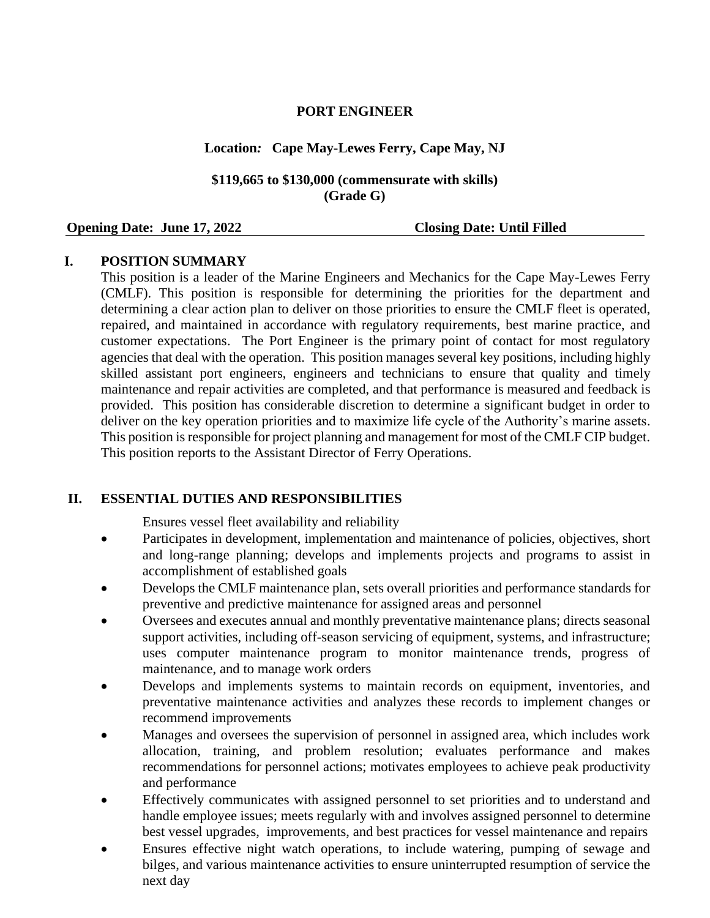#### **PORT ENGINEER**

### **Location***:* **Cape May-Lewes Ferry, Cape May, NJ**

### **\$119,665 to \$130,000 (commensurate with skills) (Grade G)**

#### **Opening Date: June 17, 2022 Closing Date: Until Filled**

#### **I. POSITION SUMMARY**

This position is a leader of the Marine Engineers and Mechanics for the Cape May-Lewes Ferry (CMLF). This position is responsible for determining the priorities for the department and determining a clear action plan to deliver on those priorities to ensure the CMLF fleet is operated, repaired, and maintained in accordance with regulatory requirements, best marine practice, and customer expectations. The Port Engineer is the primary point of contact for most regulatory agencies that deal with the operation. This position manages several key positions, including highly skilled assistant port engineers, engineers and technicians to ensure that quality and timely maintenance and repair activities are completed, and that performance is measured and feedback is provided. This position has considerable discretion to determine a significant budget in order to deliver on the key operation priorities and to maximize life cycle of the Authority's marine assets. This position is responsible for project planning and management for most of the CMLF CIP budget. This position reports to the Assistant Director of Ferry Operations.

#### **II. ESSENTIAL DUTIES AND RESPONSIBILITIES**

Ensures vessel fleet availability and reliability

- Participates in development, implementation and maintenance of policies, objectives, short and long-range planning; develops and implements projects and programs to assist in accomplishment of established goals
- Develops the CMLF maintenance plan, sets overall priorities and performance standards for preventive and predictive maintenance for assigned areas and personnel
- Oversees and executes annual and monthly preventative maintenance plans; directs seasonal support activities, including off-season servicing of equipment, systems, and infrastructure; uses computer maintenance program to monitor maintenance trends, progress of maintenance, and to manage work orders
- Develops and implements systems to maintain records on equipment, inventories, and preventative maintenance activities and analyzes these records to implement changes or recommend improvements
- Manages and oversees the supervision of personnel in assigned area, which includes work allocation, training, and problem resolution; evaluates performance and makes recommendations for personnel actions; motivates employees to achieve peak productivity and performance
- Effectively communicates with assigned personnel to set priorities and to understand and handle employee issues; meets regularly with and involves assigned personnel to determine best vessel upgrades, improvements, and best practices for vessel maintenance and repairs
- Ensures effective night watch operations, to include watering, pumping of sewage and bilges, and various maintenance activities to ensure uninterrupted resumption of service the next day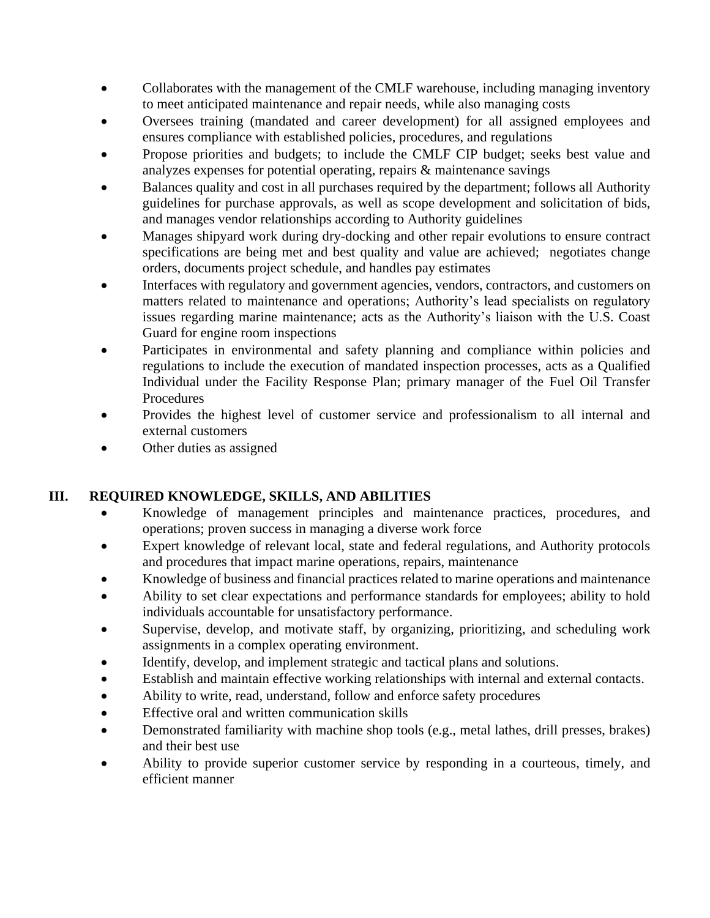- Collaborates with the management of the CMLF warehouse, including managing inventory to meet anticipated maintenance and repair needs, while also managing costs
- Oversees training (mandated and career development) for all assigned employees and ensures compliance with established policies, procedures, and regulations
- Propose priorities and budgets; to include the CMLF CIP budget; seeks best value and analyzes expenses for potential operating, repairs & maintenance savings
- Balances quality and cost in all purchases required by the department; follows all Authority guidelines for purchase approvals, as well as scope development and solicitation of bids, and manages vendor relationships according to Authority guidelines
- Manages shipyard work during dry-docking and other repair evolutions to ensure contract specifications are being met and best quality and value are achieved; negotiates change orders, documents project schedule, and handles pay estimates
- Interfaces with regulatory and government agencies, vendors, contractors, and customers on matters related to maintenance and operations; Authority's lead specialists on regulatory issues regarding marine maintenance; acts as the Authority's liaison with the U.S. Coast Guard for engine room inspections
- Participates in environmental and safety planning and compliance within policies and regulations to include the execution of mandated inspection processes, acts as a Qualified Individual under the Facility Response Plan; primary manager of the Fuel Oil Transfer Procedures
- Provides the highest level of customer service and professionalism to all internal and external customers
- Other duties as assigned

# **III. REQUIRED KNOWLEDGE, SKILLS, AND ABILITIES**

- Knowledge of management principles and maintenance practices, procedures, and operations; proven success in managing a diverse work force
- Expert knowledge of relevant local, state and federal regulations, and Authority protocols and procedures that impact marine operations, repairs, maintenance
- Knowledge of business and financial practices related to marine operations and maintenance
- Ability to set clear expectations and performance standards for employees; ability to hold individuals accountable for unsatisfactory performance.
- Supervise, develop, and motivate staff, by organizing, prioritizing, and scheduling work assignments in a complex operating environment.
- Identify, develop, and implement strategic and tactical plans and solutions.
- Establish and maintain effective working relationships with internal and external contacts.
- Ability to write, read, understand, follow and enforce safety procedures
- Effective oral and written communication skills
- Demonstrated familiarity with machine shop tools (e.g., metal lathes, drill presses, brakes) and their best use
- Ability to provide superior customer service by responding in a courteous, timely, and efficient manner